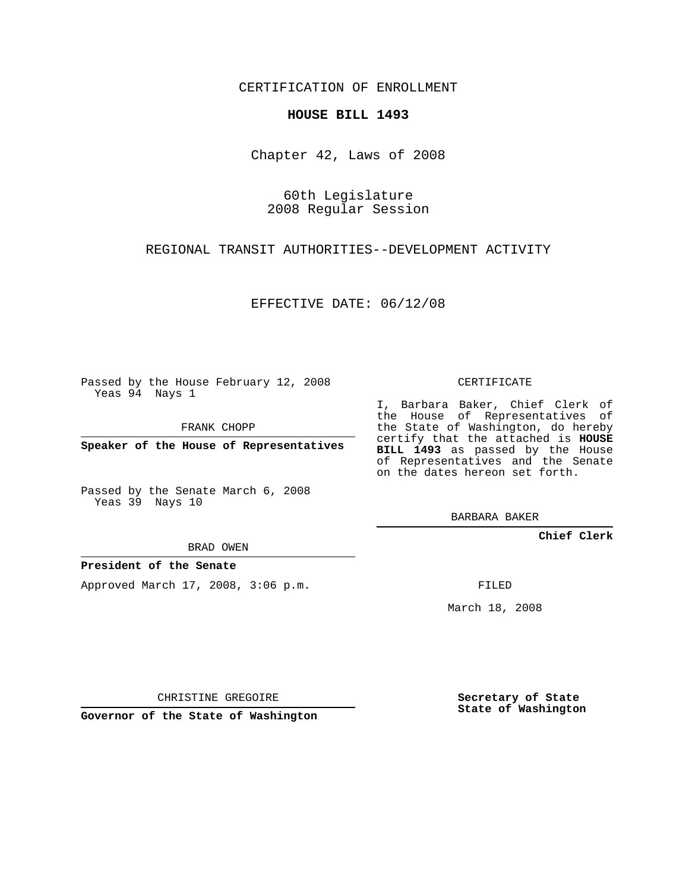CERTIFICATION OF ENROLLMENT

## **HOUSE BILL 1493**

Chapter 42, Laws of 2008

60th Legislature 2008 Regular Session

REGIONAL TRANSIT AUTHORITIES--DEVELOPMENT ACTIVITY

EFFECTIVE DATE: 06/12/08

Passed by the House February 12, 2008 Yeas 94 Nays 1

FRANK CHOPP

**Speaker of the House of Representatives**

Passed by the Senate March 6, 2008 Yeas 39 Nays 10

BRAD OWEN

## **President of the Senate**

Approved March 17, 2008, 3:06 p.m.

CERTIFICATE

I, Barbara Baker, Chief Clerk of the House of Representatives of the State of Washington, do hereby certify that the attached is **HOUSE BILL 1493** as passed by the House of Representatives and the Senate on the dates hereon set forth.

BARBARA BAKER

**Chief Clerk**

FILED

March 18, 2008

CHRISTINE GREGOIRE

**Governor of the State of Washington**

**Secretary of State State of Washington**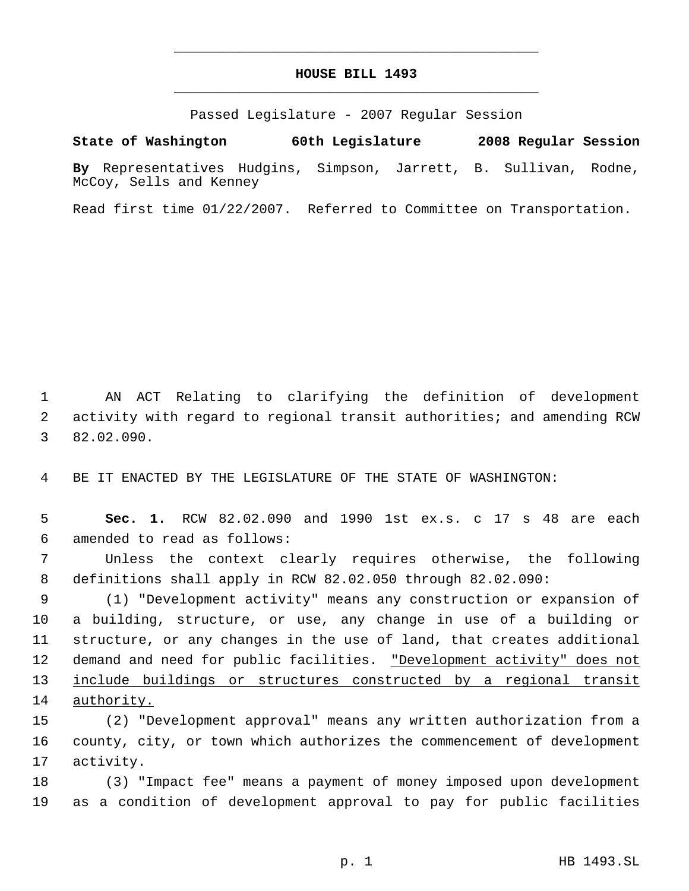## **HOUSE BILL 1493** \_\_\_\_\_\_\_\_\_\_\_\_\_\_\_\_\_\_\_\_\_\_\_\_\_\_\_\_\_\_\_\_\_\_\_\_\_\_\_\_\_\_\_\_\_

\_\_\_\_\_\_\_\_\_\_\_\_\_\_\_\_\_\_\_\_\_\_\_\_\_\_\_\_\_\_\_\_\_\_\_\_\_\_\_\_\_\_\_\_\_

Passed Legislature - 2007 Regular Session

**State of Washington 60th Legislature 2008 Regular Session**

**By** Representatives Hudgins, Simpson, Jarrett, B. Sullivan, Rodne, McCoy, Sells and Kenney

Read first time 01/22/2007. Referred to Committee on Transportation.

 AN ACT Relating to clarifying the definition of development activity with regard to regional transit authorities; and amending RCW 82.02.090.

BE IT ENACTED BY THE LEGISLATURE OF THE STATE OF WASHINGTON:

 **Sec. 1.** RCW 82.02.090 and 1990 1st ex.s. c 17 s 48 are each amended to read as follows:

 Unless the context clearly requires otherwise, the following definitions shall apply in RCW 82.02.050 through 82.02.090:

 (1) "Development activity" means any construction or expansion of a building, structure, or use, any change in use of a building or structure, or any changes in the use of land, that creates additional 12 demand and need for public facilities. <u>"Development activity" does not</u> 13 include buildings or structures constructed by a regional transit authority.

 (2) "Development approval" means any written authorization from a county, city, or town which authorizes the commencement of development activity.

 (3) "Impact fee" means a payment of money imposed upon development as a condition of development approval to pay for public facilities